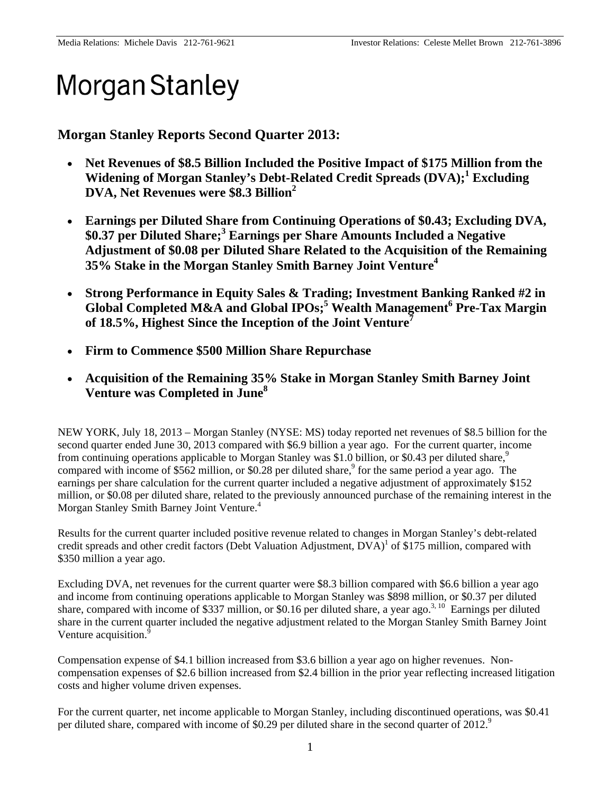**Morgan Stanley Reports Second Quarter 2013:** 

- **Net Revenues of \$8.5 Billion Included the Positive Impact of \$175 Million from the Widening of Morgan Stanley's Debt-Related Credit Spreads (DVA);<sup>1</sup> Excluding DVA, Net Revenues were \$8.3 Billion2**
- **Earnings per Diluted Share from Continuing Operations of \$0.43; Excluding DVA, \$0.37 per Diluted Share;<sup>3</sup> Earnings per Share Amounts Included a Negative Adjustment of \$0.08 per Diluted Share Related to the Acquisition of the Remaining 35% Stake in the Morgan Stanley Smith Barney Joint Venture4**
- **Strong Performance in Equity Sales & Trading; Investment Banking Ranked #2 in**  Global Completed M&A and Global IPOs;<sup>5</sup> Wealth Management<sup>6</sup> Pre-Tax Margin **of 18.5%, Highest Since the Inception of the Joint Venture7**
- **Firm to Commence \$500 Million Share Repurchase**
- **Acquisition of the Remaining 35% Stake in Morgan Stanley Smith Barney Joint Venture was Completed in June8**

NEW YORK, July 18, 2013 – Morgan Stanley (NYSE: MS) today reported net revenues of \$8.5 billion for the second quarter ended June 30, 2013 compared with \$6.9 billion a year ago. For the current quarter, income from continuing operations applicable to Morgan Stanley was \$1.0 billion, or \$0.43 per diluted share,<sup>9</sup> compared with income of \$562 million, or \$0.28 per diluted share,  $9$  for the same period a year ago. The earnings per share calculation for the current quarter included a negative adjustment of approximately \$152 million, or \$0.08 per diluted share, related to the previously announced purchase of the remaining interest in the Morgan Stanley Smith Barney Joint Venture.<sup>4</sup>

Results for the current quarter included positive revenue related to changes in Morgan Stanley's debt-related credit spreads and other credit factors (Debt Valuation Adjustment,  $DVA$ )<sup>1</sup> of \$175 million, compared with \$350 million a year ago.

Excluding DVA, net revenues for the current quarter were \$8.3 billion compared with \$6.6 billion a year ago and income from continuing operations applicable to Morgan Stanley was \$898 million, or \$0.37 per diluted share, compared with income of \$337 million, or \$0.16 per diluted share, a year ago.<sup>3, 10</sup> Earnings per diluted share in the current quarter included the negative adjustment related to the Morgan Stanley Smith Barney Joint Venture acquisition.<sup>9</sup>

Compensation expense of \$4.1 billion increased from \$3.6 billion a year ago on higher revenues. Noncompensation expenses of \$2.6 billion increased from \$2.4 billion in the prior year reflecting increased litigation costs and higher volume driven expenses.

For the current quarter, net income applicable to Morgan Stanley, including discontinued operations, was \$0.41 per diluted share, compared with income of \$0.29 per diluted share in the second quarter of 2012.<sup>9</sup>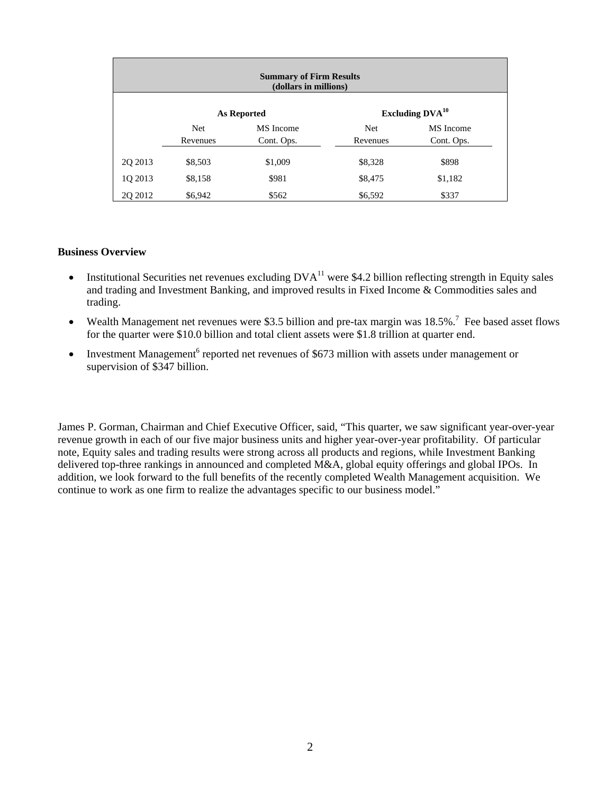| <b>Summary of Firm Results</b><br>(dollars in millions) |          |                    |            |                                    |  |  |  |  |  |  |
|---------------------------------------------------------|----------|--------------------|------------|------------------------------------|--|--|--|--|--|--|
|                                                         |          | <b>As Reported</b> |            | <b>Excluding DVA</b> <sup>10</sup> |  |  |  |  |  |  |
|                                                         | Net      | MS Income          | <b>Net</b> | MS Income                          |  |  |  |  |  |  |
|                                                         | Revenues | Cont. Ops.         | Revenues   | Cont. Ops.                         |  |  |  |  |  |  |
| 2Q 2013                                                 | \$8,503  | \$1,009            | \$8,328    | \$898                              |  |  |  |  |  |  |
| 1Q 2013                                                 | \$8,158  | \$981              | \$8,475    | \$1,182                            |  |  |  |  |  |  |
| 20 20 12                                                | \$6,942  | \$562              | \$6,592    | \$337                              |  |  |  |  |  |  |

#### **Business Overview**

- Institutional Securities net revenues excluding  $DVA<sup>11</sup>$  were \$4.2 billion reflecting strength in Equity sales and trading and Investment Banking, and improved results in Fixed Income & Commodities sales and trading.
- Wealth Management net revenues were \$3.5 billion and pre-tax margin was  $18.5\%$ .<sup>7</sup> Fee based asset flows for the quarter were \$10.0 billion and total client assets were \$1.8 trillion at quarter end.
- Investment Management<sup>6</sup> reported net revenues of \$673 million with assets under management or supervision of \$347 billion.

James P. Gorman, Chairman and Chief Executive Officer, said, "This quarter, we saw significant year-over-year revenue growth in each of our five major business units and higher year-over-year profitability. Of particular note, Equity sales and trading results were strong across all products and regions, while Investment Banking delivered top-three rankings in announced and completed M&A, global equity offerings and global IPOs. In addition, we look forward to the full benefits of the recently completed Wealth Management acquisition. We continue to work as one firm to realize the advantages specific to our business model."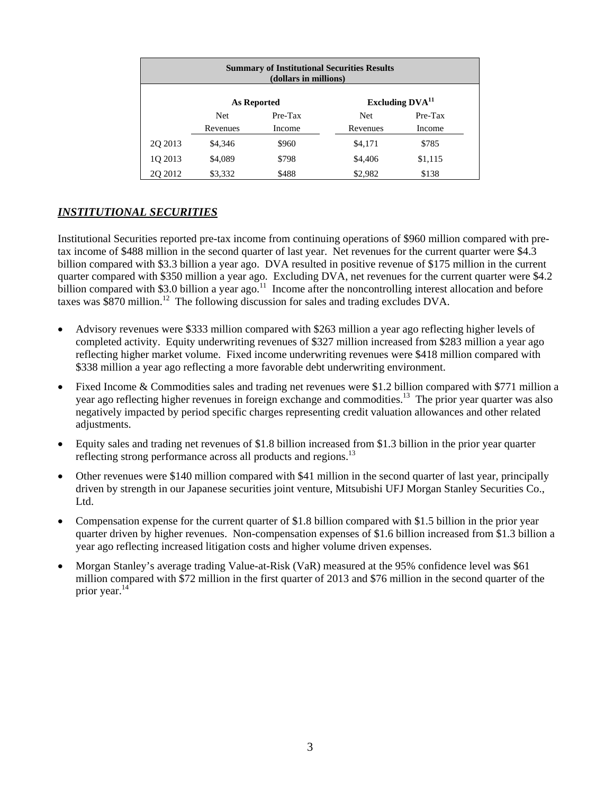| <b>Summary of Institutional Securities Results</b><br>(dollars in millions) |            |             |            |                                    |  |  |  |  |  |  |
|-----------------------------------------------------------------------------|------------|-------------|------------|------------------------------------|--|--|--|--|--|--|
|                                                                             |            | As Reported |            | <b>Excluding DVA</b> <sup>11</sup> |  |  |  |  |  |  |
|                                                                             | <b>Net</b> | Pre-Tax     | <b>Net</b> | Pre-Tax                            |  |  |  |  |  |  |
|                                                                             | Revenues   | Income      | Revenues   | Income                             |  |  |  |  |  |  |
| 2Q 2013                                                                     | \$4,346    | \$960       | \$4.171    | \$785                              |  |  |  |  |  |  |
| 10 2013                                                                     | \$4,089    | \$798       | \$4,406    | \$1,115                            |  |  |  |  |  |  |
| 20 20 12                                                                    | \$3,332    | \$488       | \$2,982    | \$138                              |  |  |  |  |  |  |

# *INSTITUTIONAL SECURITIES*

Institutional Securities reported pre-tax income from continuing operations of \$960 million compared with pretax income of \$488 million in the second quarter of last year. Net revenues for the current quarter were \$4.3 billion compared with \$3.3 billion a year ago. DVA resulted in positive revenue of \$175 million in the current quarter compared with \$350 million a year ago. Excluding DVA, net revenues for the current quarter were \$4.2 billion compared with \$3.0 billion a year ago.<sup>11</sup> Income after the noncontrolling interest allocation and before taxes was \$870 million.<sup>12</sup> The following discussion for sales and trading excludes DVA.

- Advisory revenues were \$333 million compared with \$263 million a year ago reflecting higher levels of completed activity. Equity underwriting revenues of \$327 million increased from \$283 million a year ago reflecting higher market volume. Fixed income underwriting revenues were \$418 million compared with \$338 million a year ago reflecting a more favorable debt underwriting environment.
- Fixed Income & Commodities sales and trading net revenues were \$1.2 billion compared with \$771 million a year ago reflecting higher revenues in foreign exchange and commodities.<sup>13</sup> The prior year quarter was also negatively impacted by period specific charges representing credit valuation allowances and other related adjustments.
- Equity sales and trading net revenues of \$1.8 billion increased from \$1.3 billion in the prior year quarter reflecting strong performance across all products and regions.<sup>13</sup>
- Other revenues were \$140 million compared with \$41 million in the second quarter of last year, principally driven by strength in our Japanese securities joint venture, Mitsubishi UFJ Morgan Stanley Securities Co., Ltd.
- Compensation expense for the current quarter of \$1.8 billion compared with \$1.5 billion in the prior year quarter driven by higher revenues. Non-compensation expenses of \$1.6 billion increased from \$1.3 billion a year ago reflecting increased litigation costs and higher volume driven expenses.
- Morgan Stanley's average trading Value-at-Risk (VaR) measured at the 95% confidence level was \$61 million compared with \$72 million in the first quarter of 2013 and \$76 million in the second quarter of the prior year.<sup>14</sup>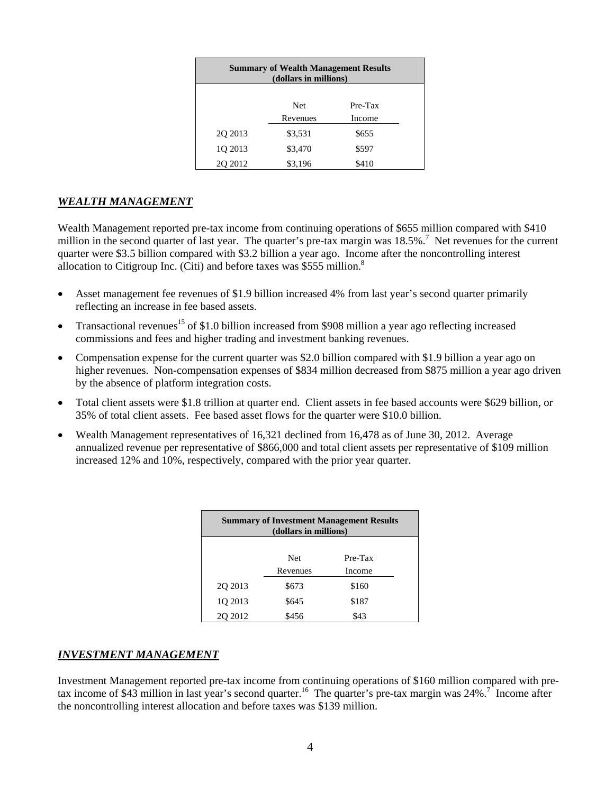| <b>Summary of Wealth Management Results</b><br>(dollars in millions) |            |           |  |  |  |  |  |  |  |  |  |
|----------------------------------------------------------------------|------------|-----------|--|--|--|--|--|--|--|--|--|
|                                                                      | <b>Net</b> | $Pre-Tax$ |  |  |  |  |  |  |  |  |  |
|                                                                      | Revenues   | Income    |  |  |  |  |  |  |  |  |  |
| 2Q 2013                                                              | \$3,531    | \$655     |  |  |  |  |  |  |  |  |  |
| 10 2013                                                              | \$3,470    | \$597     |  |  |  |  |  |  |  |  |  |
| 20 20 12                                                             | \$3,196    | \$410     |  |  |  |  |  |  |  |  |  |

## *WEALTH MANAGEMENT*

Wealth Management reported pre-tax income from continuing operations of \$655 million compared with \$410 million in the second quarter of last year. The quarter's pre-tax margin was  $18.5\%$ .<sup>7</sup> Net revenues for the current quarter were \$3.5 billion compared with \$3.2 billion a year ago. Income after the noncontrolling interest allocation to Citigroup Inc. (Citi) and before taxes was \$555 million.<sup>8</sup>

- Asset management fee revenues of \$1.9 billion increased 4% from last year's second quarter primarily reflecting an increase in fee based assets.
- Transactional revenues<sup>15</sup> of \$1.0 billion increased from \$908 million a year ago reflecting increased commissions and fees and higher trading and investment banking revenues.
- Compensation expense for the current quarter was \$2.0 billion compared with \$1.9 billion a year ago on higher revenues. Non-compensation expenses of \$834 million decreased from \$875 million a year ago driven by the absence of platform integration costs.
- Total client assets were \$1.8 trillion at quarter end. Client assets in fee based accounts were \$629 billion, or 35% of total client assets. Fee based asset flows for the quarter were \$10.0 billion.
- Wealth Management representatives of 16,321 declined from 16,478 as of June 30, 2012. Average annualized revenue per representative of \$866,000 and total client assets per representative of \$109 million increased 12% and 10%, respectively, compared with the prior year quarter.

| <b>Summary of Investment Management Results</b><br>(dollars in millions) |            |         |  |  |  |  |  |  |  |  |  |
|--------------------------------------------------------------------------|------------|---------|--|--|--|--|--|--|--|--|--|
|                                                                          | <b>Net</b> | Pre-Tax |  |  |  |  |  |  |  |  |  |
|                                                                          | Revenues   | Income  |  |  |  |  |  |  |  |  |  |
| 2Q 2013                                                                  | \$673      | \$160   |  |  |  |  |  |  |  |  |  |
| 1Q 2013                                                                  | \$645      | \$187   |  |  |  |  |  |  |  |  |  |
| 2012                                                                     | \$456      | \$43    |  |  |  |  |  |  |  |  |  |

## *INVESTMENT MANAGEMENT*

Investment Management reported pre-tax income from continuing operations of \$160 million compared with pretax income of \$43 million in last year's second quarter.<sup>16</sup> The quarter's pre-tax margin was 24%.<sup>7</sup> Income after the noncontrolling interest allocation and before taxes was \$139 million.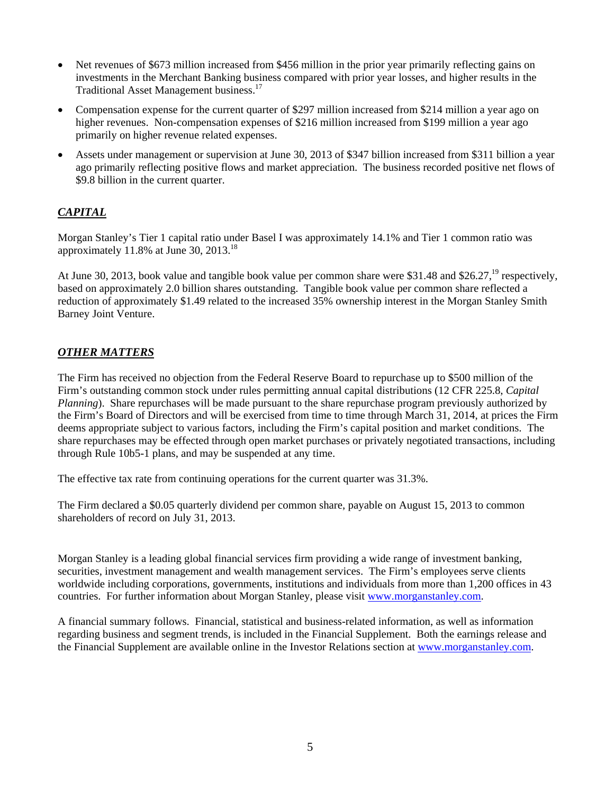- Net revenues of \$673 million increased from \$456 million in the prior year primarily reflecting gains on investments in the Merchant Banking business compared with prior year losses, and higher results in the Traditional Asset Management business.<sup>17</sup>
- Compensation expense for the current quarter of \$297 million increased from \$214 million a year ago on higher revenues. Non-compensation expenses of \$216 million increased from \$199 million a year ago primarily on higher revenue related expenses.
- Assets under management or supervision at June 30, 2013 of \$347 billion increased from \$311 billion a year ago primarily reflecting positive flows and market appreciation. The business recorded positive net flows of \$9.8 billion in the current quarter.

# *CAPITAL*

Morgan Stanley's Tier 1 capital ratio under Basel I was approximately 14.1% and Tier 1 common ratio was approximately 11.8% at June 30,  $2013.^{18}$ 

At June 30, 2013, book value and tangible book value per common share were \$31.48 and \$26.27,<sup>19</sup> respectively, based on approximately 2.0 billion shares outstanding. Tangible book value per common share reflected a reduction of approximately \$1.49 related to the increased 35% ownership interest in the Morgan Stanley Smith Barney Joint Venture.

# *OTHER MATTERS*

The Firm has received no objection from the Federal Reserve Board to repurchase up to \$500 million of the Firm's outstanding common stock under rules permitting annual capital distributions (12 CFR 225.8, *Capital Planning*). Share repurchases will be made pursuant to the share repurchase program previously authorized by the Firm's Board of Directors and will be exercised from time to time through March 31, 2014, at prices the Firm deems appropriate subject to various factors, including the Firm's capital position and market conditions. The share repurchases may be effected through open market purchases or privately negotiated transactions, including through Rule 10b5-1 plans, and may be suspended at any time.

The effective tax rate from continuing operations for the current quarter was 31.3%.

The Firm declared a \$0.05 quarterly dividend per common share, payable on August 15, 2013 to common shareholders of record on July 31, 2013.

Morgan Stanley is a leading global financial services firm providing a wide range of investment banking, securities, investment management and wealth management services. The Firm's employees serve clients worldwide including corporations, governments, institutions and individuals from more than 1,200 offices in 43 countries. For further information about Morgan Stanley, please visit www.morganstanley.com.

A financial summary follows. Financial, statistical and business-related information, as well as information regarding business and segment trends, is included in the Financial Supplement. Both the earnings release and the Financial Supplement are available online in the Investor Relations section at www.morganstanley.com.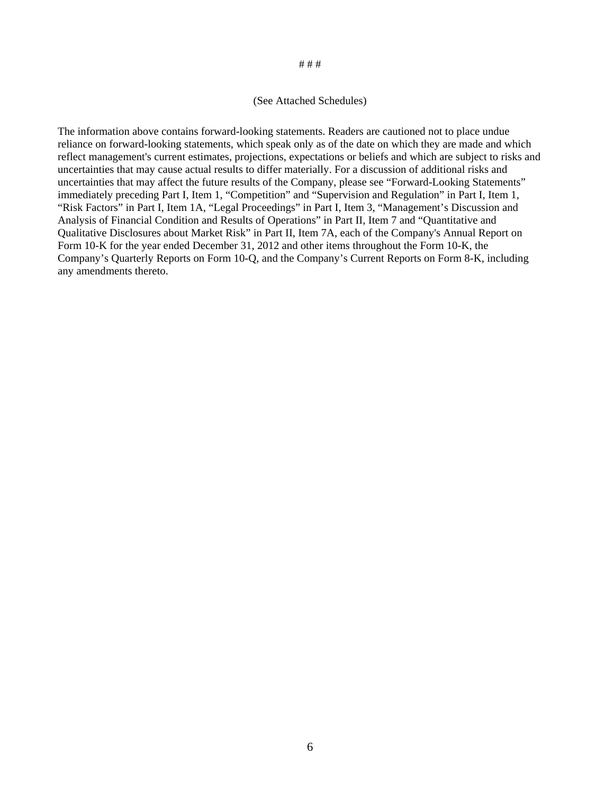#### # # #

#### (See Attached Schedules)

The information above contains forward-looking statements. Readers are cautioned not to place undue reliance on forward-looking statements, which speak only as of the date on which they are made and which reflect management's current estimates, projections, expectations or beliefs and which are subject to risks and uncertainties that may cause actual results to differ materially. For a discussion of additional risks and uncertainties that may affect the future results of the Company, please see "Forward-Looking Statements" immediately preceding Part I, Item 1, "Competition" and "Supervision and Regulation" in Part I, Item 1, "Risk Factors" in Part I, Item 1A, "Legal Proceedings" in Part I, Item 3, "Management's Discussion and Analysis of Financial Condition and Results of Operations" in Part II, Item 7 and "Quantitative and Qualitative Disclosures about Market Risk" in Part II, Item 7A, each of the Company's Annual Report on Form 10-K for the year ended December 31, 2012 and other items throughout the Form 10-K, the Company's Quarterly Reports on Form 10-Q, and the Company's Current Reports on Form 8-K, including any amendments thereto.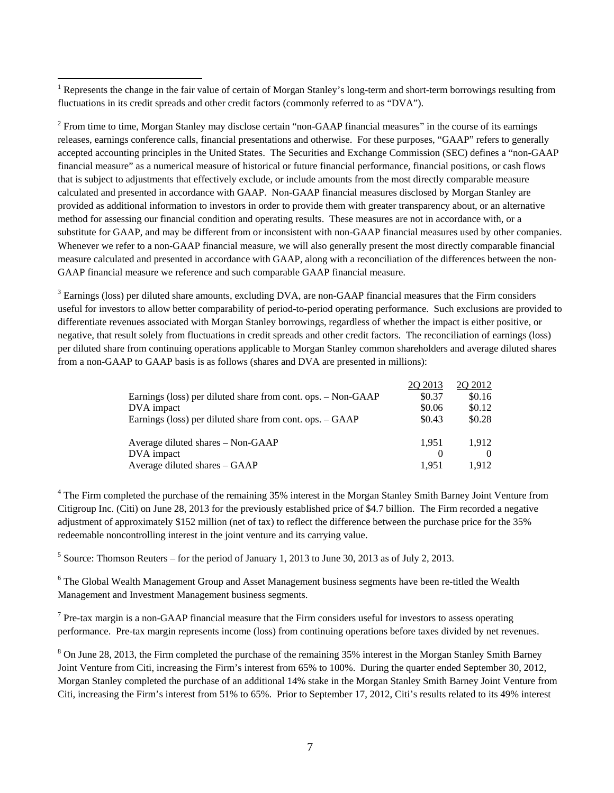$\overline{a}$ <sup>1</sup> Represents the change in the fair value of certain of Morgan Stanley's long-term and short-term borrowings resulting from fluctuations in its credit spreads and other credit factors (commonly referred to as "DVA").

 $2^2$  From time to time, Morgan Stanley may disclose certain "non-GAAP financial measures" in the course of its earnings releases, earnings conference calls, financial presentations and otherwise. For these purposes, "GAAP" refers to generally accepted accounting principles in the United States. The Securities and Exchange Commission (SEC) defines a "non-GAAP financial measure" as a numerical measure of historical or future financial performance, financial positions, or cash flows that is subject to adjustments that effectively exclude, or include amounts from the most directly comparable measure calculated and presented in accordance with GAAP. Non-GAAP financial measures disclosed by Morgan Stanley are provided as additional information to investors in order to provide them with greater transparency about, or an alternative method for assessing our financial condition and operating results. These measures are not in accordance with, or a substitute for GAAP, and may be different from or inconsistent with non-GAAP financial measures used by other companies. Whenever we refer to a non-GAAP financial measure, we will also generally present the most directly comparable financial measure calculated and presented in accordance with GAAP, along with a reconciliation of the differences between the non-GAAP financial measure we reference and such comparable GAAP financial measure.

 $3$  Earnings (loss) per diluted share amounts, excluding DVA, are non-GAAP financial measures that the Firm considers useful for investors to allow better comparability of period-to-period operating performance. Such exclusions are provided to differentiate revenues associated with Morgan Stanley borrowings, regardless of whether the impact is either positive, or negative, that result solely from fluctuations in credit spreads and other credit factors. The reconciliation of earnings (loss) per diluted share from continuing operations applicable to Morgan Stanley common shareholders and average diluted shares from a non-GAAP to GAAP basis is as follows (shares and DVA are presented in millions):

|                                                              | 20 20 13 | 20 2012 |
|--------------------------------------------------------------|----------|---------|
| Earnings (loss) per diluted share from cont. ops. – Non-GAAP | \$0.37   | \$0.16  |
| DVA impact                                                   | \$0.06   | \$0.12  |
| Earnings (loss) per diluted share from cont. ops. – GAAP     | \$0.43   | \$0.28  |
| Average diluted shares – Non-GAAP                            | 1.951    | 1.912   |
| DVA impact                                                   | $\theta$ |         |
| Average diluted shares – GAAP                                | 1.951    | 1.912   |

<sup>4</sup> The Firm completed the purchase of the remaining 35% interest in the Morgan Stanley Smith Barney Joint Venture from Citigroup Inc. (Citi) on June 28, 2013 for the previously established price of \$4.7 billion. The Firm recorded a negative adjustment of approximately \$152 million (net of tax) to reflect the difference between the purchase price for the 35% redeemable noncontrolling interest in the joint venture and its carrying value.

 $<sup>5</sup>$  Source: Thomson Reuters – for the period of January 1, 2013 to June 30, 2013 as of July 2, 2013.</sup>

<sup>6</sup> The Global Wealth Management Group and Asset Management business segments have been re-titled the Wealth Management and Investment Management business segments.

 $7$  Pre-tax margin is a non-GAAP financial measure that the Firm considers useful for investors to assess operating performance. Pre-tax margin represents income (loss) from continuing operations before taxes divided by net revenues.

<sup>8</sup> On June 28, 2013, the Firm completed the purchase of the remaining 35% interest in the Morgan Stanley Smith Barney Joint Venture from Citi, increasing the Firm's interest from 65% to 100%. During the quarter ended September 30, 2012, Morgan Stanley completed the purchase of an additional 14% stake in the Morgan Stanley Smith Barney Joint Venture from Citi, increasing the Firm's interest from 51% to 65%. Prior to September 17, 2012, Citi's results related to its 49% interest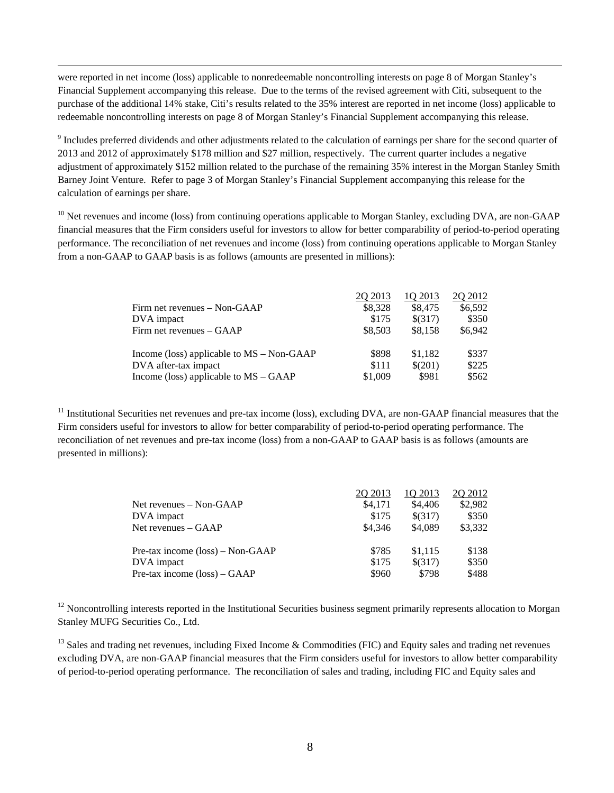were reported in net income (loss) applicable to nonredeemable noncontrolling interests on page 8 of Morgan Stanley's Financial Supplement accompanying this release. Due to the terms of the revised agreement with Citi, subsequent to the purchase of the additional 14% stake, Citi's results related to the 35% interest are reported in net income (loss) applicable to redeemable noncontrolling interests on page 8 of Morgan Stanley's Financial Supplement accompanying this release.

<sup>9</sup> Includes preferred dividends and other adjustments related to the calculation of earnings per share for the second quarter of 2013 and 2012 of approximately \$178 million and \$27 million, respectively. The current quarter includes a negative adjustment of approximately \$152 million related to the purchase of the remaining 35% interest in the Morgan Stanley Smith Barney Joint Venture. Refer to page 3 of Morgan Stanley's Financial Supplement accompanying this release for the calculation of earnings per share.

 $10$  Net revenues and income (loss) from continuing operations applicable to Morgan Stanley, excluding DVA, are non-GAAP financial measures that the Firm considers useful for investors to allow for better comparability of period-to-period operating performance. The reconciliation of net revenues and income (loss) from continuing operations applicable to Morgan Stanley from a non-GAAP to GAAP basis is as follows (amounts are presented in millions):

|                                             | 20 20 13 | 10 2013 | 20 2012 |
|---------------------------------------------|----------|---------|---------|
| Firm net revenues – Non-GAAP                | \$8,328  | \$8,475 | \$6,592 |
| DVA impact                                  | \$175    | \$(317) | \$350   |
| Firm net revenues $-$ GAAP                  | \$8,503  | \$8.158 | \$6,942 |
|                                             |          |         |         |
| Income (loss) applicable to $MS - Non-GAAP$ | \$898    | \$1,182 | \$337   |
| DVA after-tax impact                        | \$111    | \$(201) | \$225   |
| Income (loss) applicable to $MS - GAAP$     | \$1,009  | \$981   | \$562   |

<sup>11</sup> Institutional Securities net revenues and pre-tax income (loss), excluding DVA, are non-GAAP financial measures that the Firm considers useful for investors to allow for better comparability of period-to-period operating performance. The reconciliation of net revenues and pre-tax income (loss) from a non-GAAP to GAAP basis is as follows (amounts are presented in millions):

|                                              | 20 20 13 | 10 2013 | 20 20 12 |
|----------------------------------------------|----------|---------|----------|
| Net revenues $-$ Non-GAAP                    | \$4.171  | \$4,406 | \$2,982  |
| DVA impact                                   | \$175    | \$(317) | \$350    |
| Net revenues $-$ GAAP                        | \$4,346  | \$4,089 | \$3,332  |
| Pre-tax income $(loss)$ – Non-GAAP           | \$785    | \$1,115 | \$138    |
| DVA impact                                   | \$175    | \$(317) | \$350    |
| Pre-tax income $(\text{loss}) - \text{GAAP}$ | \$960    | \$798   | \$488    |

 $12$  Noncontrolling interests reported in the Institutional Securities business segment primarily represents allocation to Morgan Stanley MUFG Securities Co., Ltd.

<sup>13</sup> Sales and trading net revenues, including Fixed Income & Commodities (FIC) and Equity sales and trading net revenues excluding DVA, are non-GAAP financial measures that the Firm considers useful for investors to allow better comparability of period-to-period operating performance. The reconciliation of sales and trading, including FIC and Equity sales and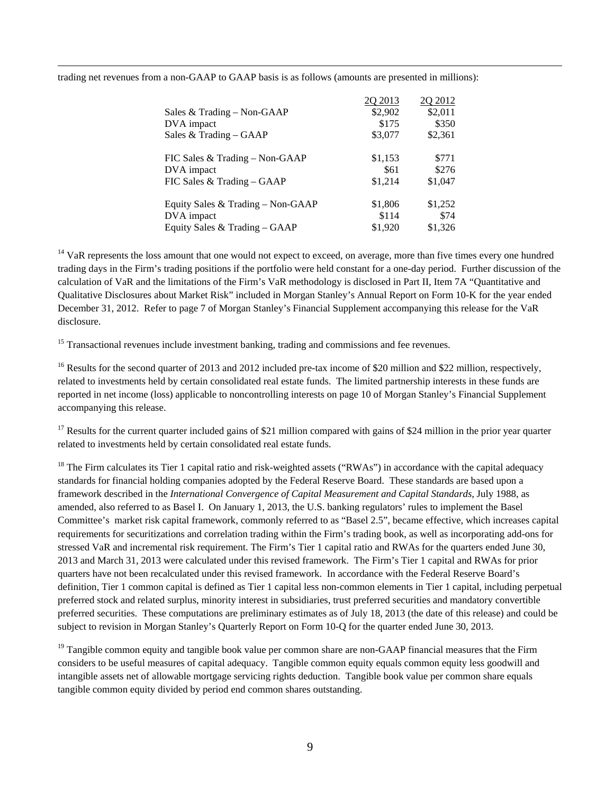|                                   | 2Q 2013 | 2Q 2012 |
|-----------------------------------|---------|---------|
| Sales & Trading $-$ Non-GAAP      | \$2,902 | \$2,011 |
| DVA impact                        | \$175   | \$350   |
| Sales & Trading $-$ GAAP          | \$3,077 | \$2,361 |
| $FIC$ Sales & Trading – Non-GAAP  | \$1,153 | \$771   |
| DVA impact                        | \$61    | \$276   |
| FIC Sales & Trading – GAAP        | \$1,214 | \$1,047 |
| Equity Sales & Trading – Non-GAAP | \$1,806 | \$1,252 |
| DVA impact                        | \$114   | \$74    |
| Equity Sales & Trading $-$ GAAP   | \$1,920 | \$1,326 |

trading net revenues from a non-GAAP to GAAP basis is as follows (amounts are presented in millions):

<sup>14</sup> VaR represents the loss amount that one would not expect to exceed, on average, more than five times every one hundred trading days in the Firm's trading positions if the portfolio were held constant for a one-day period. Further discussion of the calculation of VaR and the limitations of the Firm's VaR methodology is disclosed in Part II, Item 7A "Quantitative and Qualitative Disclosures about Market Risk" included in Morgan Stanley's Annual Report on Form 10-K for the year ended December 31, 2012. Refer to page 7 of Morgan Stanley's Financial Supplement accompanying this release for the VaR disclosure.

 $15$  Transactional revenues include investment banking, trading and commissions and fee revenues.

<sup>16</sup> Results for the second quarter of 2013 and 2012 included pre-tax income of \$20 million and \$22 million, respectively, related to investments held by certain consolidated real estate funds. The limited partnership interests in these funds are reported in net income (loss) applicable to noncontrolling interests on page 10 of Morgan Stanley's Financial Supplement accompanying this release.

 $17$  Results for the current quarter included gains of \$21 million compared with gains of \$24 million in the prior year quarter related to investments held by certain consolidated real estate funds.

 $18$  The Firm calculates its Tier 1 capital ratio and risk-weighted assets ("RWAs") in accordance with the capital adequacy standards for financial holding companies adopted by the Federal Reserve Board. These standards are based upon a framework described in the *International Convergence of Capital Measurement and Capital Standards*, July 1988, as amended, also referred to as Basel I. On January 1, 2013, the U.S. banking regulators' rules to implement the Basel Committee's market risk capital framework, commonly referred to as "Basel 2.5", became effective, which increases capital requirements for securitizations and correlation trading within the Firm's trading book, as well as incorporating add-ons for stressed VaR and incremental risk requirement. The Firm's Tier 1 capital ratio and RWAs for the quarters ended June 30, 2013 and March 31, 2013 were calculated under this revised framework. The Firm's Tier 1 capital and RWAs for prior quarters have not been recalculated under this revised framework. In accordance with the Federal Reserve Board's definition, Tier 1 common capital is defined as Tier 1 capital less non-common elements in Tier 1 capital, including perpetual preferred stock and related surplus, minority interest in subsidiaries, trust preferred securities and mandatory convertible preferred securities. These computations are preliminary estimates as of July 18, 2013 (the date of this release) and could be subject to revision in Morgan Stanley's Quarterly Report on Form 10-Q for the quarter ended June 30, 2013.

 $19$  Tangible common equity and tangible book value per common share are non-GAAP financial measures that the Firm considers to be useful measures of capital adequacy. Tangible common equity equals common equity less goodwill and intangible assets net of allowable mortgage servicing rights deduction. Tangible book value per common share equals tangible common equity divided by period end common shares outstanding.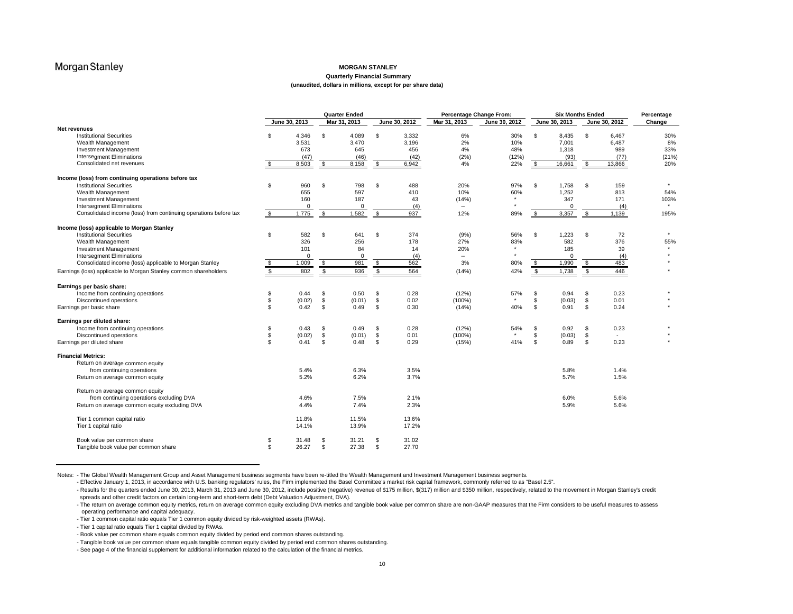#### **MORGAN STANLEY**

**Quarterly Financial Summary** 

#### **(unaudited, dollars in millions, except for per share data)**

| Mar 31, 2013<br>June 30, 2013<br>June 30, 2012<br>Mar 31, 2013<br>June 30, 2012<br>June 30, 2013<br>June 30, 2012<br>Change<br><b>Net revenues</b><br><b>Institutional Securities</b><br>\$<br>\$<br>4,089<br>\$<br>3,332<br>6%<br>30%<br>\$<br>8,435<br>\$<br>6,467<br>4,346<br>3,531<br>3,470<br>3,196<br>2%<br>10%<br>7,001<br>6,487<br>Wealth Management<br>673<br>645<br>456<br>4%<br>48%<br>1,318<br>989<br><b>Investment Management</b><br>(2%)<br>(12%)<br><b>Intersegment Eliminations</b><br>(47)<br>(46)<br>(42)<br>(93)<br>(77)<br>Consolidated net revenues<br>8,503<br>8,158<br>6,942<br>22%<br>16,661<br>13,866<br>\$<br>-S<br>\$.<br>4%<br>- \$<br>- 96<br>Income (loss) from continuing operations before tax<br><b>Institutional Securities</b><br>\$<br>798<br>\$<br>97%<br>\$<br>1,758<br>960<br>\$<br>488<br>20%<br>\$<br>159<br>1.252<br>655<br>597<br>410<br>10%<br>60%<br>813<br>Wealth Management<br>187<br>43<br>(14%)<br>347<br><b>Investment Management</b><br>160<br>171<br><b>Intersegment Eliminations</b><br>$\Omega$<br>$\mathbf 0$<br>(4)<br>(4)<br>$\Omega$<br>۰.<br>1,775<br>1,582<br>937<br>3,357<br>Consolidated income (loss) from continuing operations before tax<br>\$<br>\$<br>S<br>12%<br>89%<br>\$<br>-S<br>1,139<br>Income (loss) applicable to Morgan Stanley<br><b>Institutional Securities</b><br>\$<br>\$<br>\$<br>374<br>56%<br>\$<br>1,223<br>\$<br>72<br>$\star$<br>582<br>641<br>(9%)<br>256<br>178<br>27%<br>83%<br>582<br>376<br>Wealth Management<br>326<br><b>Investment Management</b><br>101<br>84<br>14<br>20%<br>185<br>39<br><b>Intersegment Eliminations</b><br>(4)<br>$\Omega$<br>$\mathbf 0$<br>(4)<br>$\Omega$<br>٠.<br>Consolidated income (loss) applicable to Morgan Stanley<br>562<br>$\star$<br>1,009<br>981<br>3%<br>80%<br>1,990<br>\$<br>483<br>\$<br>S.<br>- \$<br>\$<br>802<br>\$<br>936<br>\$<br>564<br>42%<br>Earnings (loss) applicable to Morgan Stanley common shareholders<br>\$<br>(14%)<br>\$<br>1,738<br>\$<br>446<br>Earnings per basic share:<br>\$<br>0.50<br>\$<br>0.28<br>(12%)<br>57%<br>0.94<br>\$<br>0.23<br>$\star$<br>Income from continuing operations<br>\$<br>0.44<br>\$<br>\$<br>\$<br>$\star$<br>Discontinued operations<br>S<br>(0.02)<br>(0.01)<br>\$<br>0.02<br>$(100\%)$<br>$\bullet$<br>(0.03)<br>\$<br>0.01<br>\$<br>40%<br>\$<br>\$<br>$\star$<br>Earnings per basic share<br>\$.<br>0.42<br>0.49<br>\$<br>0.30<br>(14%)<br>0.91<br>0.24<br>Earnings per diluted share:<br>S<br>0.28<br>54%<br>0.23<br>Income from continuing operations<br>S<br>0.43<br>\$<br>0.49<br>(12%)<br>\$<br>0.92<br>\$<br>$\star$<br>\$<br>\$<br>\$<br>\$<br>(0.02)<br>(0.01)<br>\$<br>0.01<br>$(100\%)$<br>(0.03)<br>Discontinued operations<br>$\bullet$<br>\$<br>Earnings per diluted share<br>0.41<br>\$<br>0.48<br>\$<br>0.29<br>41%<br>\$<br>0.89<br>\$<br>0.23<br>(15%)<br><b>Financial Metrics:</b><br>Return on average common equity<br>6.3%<br>3.5%<br>5.8%<br>1.4%<br>5.4%<br>from continuing operations<br>5.2%<br>6.2%<br>3.7%<br>5.7%<br>1.5%<br>Return on average common equity<br>Return on average common equity<br>from continuing operations excluding DVA<br>4.6%<br>7.5%<br>2.1%<br>6.0%<br>5.6%<br>Return on average common equity excluding DVA<br>4.4%<br>7.4%<br>2.3%<br>5.9%<br>5.6%<br>11.5%<br>13.6%<br>Tier 1 common capital ratio<br>11.8%<br>14.1%<br>13.9%<br>17.2%<br>Tier 1 capital ratio<br>31.02<br>Book value per common share<br>31.48<br>\$<br>31.21<br>\$<br>\$<br>\$<br>\$.<br>26.27<br>27.38<br>\$<br>27.70<br>Tangible book value per common share | <b>Quarter Ended</b> |  |  | Percentage Change From: |  |  |  |  | <b>Six Months Ended</b> | Percentage |  |           |
|--------------------------------------------------------------------------------------------------------------------------------------------------------------------------------------------------------------------------------------------------------------------------------------------------------------------------------------------------------------------------------------------------------------------------------------------------------------------------------------------------------------------------------------------------------------------------------------------------------------------------------------------------------------------------------------------------------------------------------------------------------------------------------------------------------------------------------------------------------------------------------------------------------------------------------------------------------------------------------------------------------------------------------------------------------------------------------------------------------------------------------------------------------------------------------------------------------------------------------------------------------------------------------------------------------------------------------------------------------------------------------------------------------------------------------------------------------------------------------------------------------------------------------------------------------------------------------------------------------------------------------------------------------------------------------------------------------------------------------------------------------------------------------------------------------------------------------------------------------------------------------------------------------------------------------------------------------------------------------------------------------------------------------------------------------------------------------------------------------------------------------------------------------------------------------------------------------------------------------------------------------------------------------------------------------------------------------------------------------------------------------------------------------------------------------------------------------------------------------------------------------------------------------------------------------------------------------------------------------------------------------------------------------------------------------------------------------------------------------------------------------------------------------------------------------------------------------------------------------------------------------------------------------------------------------------------------------------------------------------------------------------------------------------------------------------------------------------------------------------------------------------------------------------------------------------------------------------------------------------------------------------------------------------------------------------------------------------------------------------------------------------------------------------------------------------------------------------------------------------------------------------------------------------------------------------------------------------|----------------------|--|--|-------------------------|--|--|--|--|-------------------------|------------|--|-----------|
|                                                                                                                                                                                                                                                                                                                                                                                                                                                                                                                                                                                                                                                                                                                                                                                                                                                                                                                                                                                                                                                                                                                                                                                                                                                                                                                                                                                                                                                                                                                                                                                                                                                                                                                                                                                                                                                                                                                                                                                                                                                                                                                                                                                                                                                                                                                                                                                                                                                                                                                                                                                                                                                                                                                                                                                                                                                                                                                                                                                                                                                                                                                                                                                                                                                                                                                                                                                                                                                                                                                                                                                      |                      |  |  |                         |  |  |  |  |                         |            |  |           |
|                                                                                                                                                                                                                                                                                                                                                                                                                                                                                                                                                                                                                                                                                                                                                                                                                                                                                                                                                                                                                                                                                                                                                                                                                                                                                                                                                                                                                                                                                                                                                                                                                                                                                                                                                                                                                                                                                                                                                                                                                                                                                                                                                                                                                                                                                                                                                                                                                                                                                                                                                                                                                                                                                                                                                                                                                                                                                                                                                                                                                                                                                                                                                                                                                                                                                                                                                                                                                                                                                                                                                                                      |                      |  |  |                         |  |  |  |  |                         |            |  |           |
|                                                                                                                                                                                                                                                                                                                                                                                                                                                                                                                                                                                                                                                                                                                                                                                                                                                                                                                                                                                                                                                                                                                                                                                                                                                                                                                                                                                                                                                                                                                                                                                                                                                                                                                                                                                                                                                                                                                                                                                                                                                                                                                                                                                                                                                                                                                                                                                                                                                                                                                                                                                                                                                                                                                                                                                                                                                                                                                                                                                                                                                                                                                                                                                                                                                                                                                                                                                                                                                                                                                                                                                      |                      |  |  |                         |  |  |  |  |                         |            |  | 30%       |
|                                                                                                                                                                                                                                                                                                                                                                                                                                                                                                                                                                                                                                                                                                                                                                                                                                                                                                                                                                                                                                                                                                                                                                                                                                                                                                                                                                                                                                                                                                                                                                                                                                                                                                                                                                                                                                                                                                                                                                                                                                                                                                                                                                                                                                                                                                                                                                                                                                                                                                                                                                                                                                                                                                                                                                                                                                                                                                                                                                                                                                                                                                                                                                                                                                                                                                                                                                                                                                                                                                                                                                                      |                      |  |  |                         |  |  |  |  |                         |            |  | 8%        |
|                                                                                                                                                                                                                                                                                                                                                                                                                                                                                                                                                                                                                                                                                                                                                                                                                                                                                                                                                                                                                                                                                                                                                                                                                                                                                                                                                                                                                                                                                                                                                                                                                                                                                                                                                                                                                                                                                                                                                                                                                                                                                                                                                                                                                                                                                                                                                                                                                                                                                                                                                                                                                                                                                                                                                                                                                                                                                                                                                                                                                                                                                                                                                                                                                                                                                                                                                                                                                                                                                                                                                                                      |                      |  |  |                         |  |  |  |  |                         |            |  | 33%       |
|                                                                                                                                                                                                                                                                                                                                                                                                                                                                                                                                                                                                                                                                                                                                                                                                                                                                                                                                                                                                                                                                                                                                                                                                                                                                                                                                                                                                                                                                                                                                                                                                                                                                                                                                                                                                                                                                                                                                                                                                                                                                                                                                                                                                                                                                                                                                                                                                                                                                                                                                                                                                                                                                                                                                                                                                                                                                                                                                                                                                                                                                                                                                                                                                                                                                                                                                                                                                                                                                                                                                                                                      |                      |  |  |                         |  |  |  |  |                         |            |  | (21%)     |
|                                                                                                                                                                                                                                                                                                                                                                                                                                                                                                                                                                                                                                                                                                                                                                                                                                                                                                                                                                                                                                                                                                                                                                                                                                                                                                                                                                                                                                                                                                                                                                                                                                                                                                                                                                                                                                                                                                                                                                                                                                                                                                                                                                                                                                                                                                                                                                                                                                                                                                                                                                                                                                                                                                                                                                                                                                                                                                                                                                                                                                                                                                                                                                                                                                                                                                                                                                                                                                                                                                                                                                                      |                      |  |  |                         |  |  |  |  |                         |            |  | 20%       |
|                                                                                                                                                                                                                                                                                                                                                                                                                                                                                                                                                                                                                                                                                                                                                                                                                                                                                                                                                                                                                                                                                                                                                                                                                                                                                                                                                                                                                                                                                                                                                                                                                                                                                                                                                                                                                                                                                                                                                                                                                                                                                                                                                                                                                                                                                                                                                                                                                                                                                                                                                                                                                                                                                                                                                                                                                                                                                                                                                                                                                                                                                                                                                                                                                                                                                                                                                                                                                                                                                                                                                                                      |                      |  |  |                         |  |  |  |  |                         |            |  |           |
|                                                                                                                                                                                                                                                                                                                                                                                                                                                                                                                                                                                                                                                                                                                                                                                                                                                                                                                                                                                                                                                                                                                                                                                                                                                                                                                                                                                                                                                                                                                                                                                                                                                                                                                                                                                                                                                                                                                                                                                                                                                                                                                                                                                                                                                                                                                                                                                                                                                                                                                                                                                                                                                                                                                                                                                                                                                                                                                                                                                                                                                                                                                                                                                                                                                                                                                                                                                                                                                                                                                                                                                      |                      |  |  |                         |  |  |  |  |                         |            |  | $\star$   |
|                                                                                                                                                                                                                                                                                                                                                                                                                                                                                                                                                                                                                                                                                                                                                                                                                                                                                                                                                                                                                                                                                                                                                                                                                                                                                                                                                                                                                                                                                                                                                                                                                                                                                                                                                                                                                                                                                                                                                                                                                                                                                                                                                                                                                                                                                                                                                                                                                                                                                                                                                                                                                                                                                                                                                                                                                                                                                                                                                                                                                                                                                                                                                                                                                                                                                                                                                                                                                                                                                                                                                                                      |                      |  |  |                         |  |  |  |  |                         |            |  | 54%       |
|                                                                                                                                                                                                                                                                                                                                                                                                                                                                                                                                                                                                                                                                                                                                                                                                                                                                                                                                                                                                                                                                                                                                                                                                                                                                                                                                                                                                                                                                                                                                                                                                                                                                                                                                                                                                                                                                                                                                                                                                                                                                                                                                                                                                                                                                                                                                                                                                                                                                                                                                                                                                                                                                                                                                                                                                                                                                                                                                                                                                                                                                                                                                                                                                                                                                                                                                                                                                                                                                                                                                                                                      |                      |  |  |                         |  |  |  |  |                         |            |  | 103%      |
|                                                                                                                                                                                                                                                                                                                                                                                                                                                                                                                                                                                                                                                                                                                                                                                                                                                                                                                                                                                                                                                                                                                                                                                                                                                                                                                                                                                                                                                                                                                                                                                                                                                                                                                                                                                                                                                                                                                                                                                                                                                                                                                                                                                                                                                                                                                                                                                                                                                                                                                                                                                                                                                                                                                                                                                                                                                                                                                                                                                                                                                                                                                                                                                                                                                                                                                                                                                                                                                                                                                                                                                      |                      |  |  |                         |  |  |  |  |                         |            |  |           |
|                                                                                                                                                                                                                                                                                                                                                                                                                                                                                                                                                                                                                                                                                                                                                                                                                                                                                                                                                                                                                                                                                                                                                                                                                                                                                                                                                                                                                                                                                                                                                                                                                                                                                                                                                                                                                                                                                                                                                                                                                                                                                                                                                                                                                                                                                                                                                                                                                                                                                                                                                                                                                                                                                                                                                                                                                                                                                                                                                                                                                                                                                                                                                                                                                                                                                                                                                                                                                                                                                                                                                                                      |                      |  |  |                         |  |  |  |  |                         |            |  | 195%      |
|                                                                                                                                                                                                                                                                                                                                                                                                                                                                                                                                                                                                                                                                                                                                                                                                                                                                                                                                                                                                                                                                                                                                                                                                                                                                                                                                                                                                                                                                                                                                                                                                                                                                                                                                                                                                                                                                                                                                                                                                                                                                                                                                                                                                                                                                                                                                                                                                                                                                                                                                                                                                                                                                                                                                                                                                                                                                                                                                                                                                                                                                                                                                                                                                                                                                                                                                                                                                                                                                                                                                                                                      |                      |  |  |                         |  |  |  |  |                         |            |  |           |
|                                                                                                                                                                                                                                                                                                                                                                                                                                                                                                                                                                                                                                                                                                                                                                                                                                                                                                                                                                                                                                                                                                                                                                                                                                                                                                                                                                                                                                                                                                                                                                                                                                                                                                                                                                                                                                                                                                                                                                                                                                                                                                                                                                                                                                                                                                                                                                                                                                                                                                                                                                                                                                                                                                                                                                                                                                                                                                                                                                                                                                                                                                                                                                                                                                                                                                                                                                                                                                                                                                                                                                                      |                      |  |  |                         |  |  |  |  |                         |            |  |           |
|                                                                                                                                                                                                                                                                                                                                                                                                                                                                                                                                                                                                                                                                                                                                                                                                                                                                                                                                                                                                                                                                                                                                                                                                                                                                                                                                                                                                                                                                                                                                                                                                                                                                                                                                                                                                                                                                                                                                                                                                                                                                                                                                                                                                                                                                                                                                                                                                                                                                                                                                                                                                                                                                                                                                                                                                                                                                                                                                                                                                                                                                                                                                                                                                                                                                                                                                                                                                                                                                                                                                                                                      |                      |  |  |                         |  |  |  |  |                         |            |  | 55%       |
|                                                                                                                                                                                                                                                                                                                                                                                                                                                                                                                                                                                                                                                                                                                                                                                                                                                                                                                                                                                                                                                                                                                                                                                                                                                                                                                                                                                                                                                                                                                                                                                                                                                                                                                                                                                                                                                                                                                                                                                                                                                                                                                                                                                                                                                                                                                                                                                                                                                                                                                                                                                                                                                                                                                                                                                                                                                                                                                                                                                                                                                                                                                                                                                                                                                                                                                                                                                                                                                                                                                                                                                      |                      |  |  |                         |  |  |  |  |                         |            |  | $\bullet$ |
|                                                                                                                                                                                                                                                                                                                                                                                                                                                                                                                                                                                                                                                                                                                                                                                                                                                                                                                                                                                                                                                                                                                                                                                                                                                                                                                                                                                                                                                                                                                                                                                                                                                                                                                                                                                                                                                                                                                                                                                                                                                                                                                                                                                                                                                                                                                                                                                                                                                                                                                                                                                                                                                                                                                                                                                                                                                                                                                                                                                                                                                                                                                                                                                                                                                                                                                                                                                                                                                                                                                                                                                      |                      |  |  |                         |  |  |  |  |                         |            |  | $\star$   |
|                                                                                                                                                                                                                                                                                                                                                                                                                                                                                                                                                                                                                                                                                                                                                                                                                                                                                                                                                                                                                                                                                                                                                                                                                                                                                                                                                                                                                                                                                                                                                                                                                                                                                                                                                                                                                                                                                                                                                                                                                                                                                                                                                                                                                                                                                                                                                                                                                                                                                                                                                                                                                                                                                                                                                                                                                                                                                                                                                                                                                                                                                                                                                                                                                                                                                                                                                                                                                                                                                                                                                                                      |                      |  |  |                         |  |  |  |  |                         |            |  |           |
|                                                                                                                                                                                                                                                                                                                                                                                                                                                                                                                                                                                                                                                                                                                                                                                                                                                                                                                                                                                                                                                                                                                                                                                                                                                                                                                                                                                                                                                                                                                                                                                                                                                                                                                                                                                                                                                                                                                                                                                                                                                                                                                                                                                                                                                                                                                                                                                                                                                                                                                                                                                                                                                                                                                                                                                                                                                                                                                                                                                                                                                                                                                                                                                                                                                                                                                                                                                                                                                                                                                                                                                      |                      |  |  |                         |  |  |  |  |                         |            |  |           |
|                                                                                                                                                                                                                                                                                                                                                                                                                                                                                                                                                                                                                                                                                                                                                                                                                                                                                                                                                                                                                                                                                                                                                                                                                                                                                                                                                                                                                                                                                                                                                                                                                                                                                                                                                                                                                                                                                                                                                                                                                                                                                                                                                                                                                                                                                                                                                                                                                                                                                                                                                                                                                                                                                                                                                                                                                                                                                                                                                                                                                                                                                                                                                                                                                                                                                                                                                                                                                                                                                                                                                                                      |                      |  |  |                         |  |  |  |  |                         |            |  |           |
|                                                                                                                                                                                                                                                                                                                                                                                                                                                                                                                                                                                                                                                                                                                                                                                                                                                                                                                                                                                                                                                                                                                                                                                                                                                                                                                                                                                                                                                                                                                                                                                                                                                                                                                                                                                                                                                                                                                                                                                                                                                                                                                                                                                                                                                                                                                                                                                                                                                                                                                                                                                                                                                                                                                                                                                                                                                                                                                                                                                                                                                                                                                                                                                                                                                                                                                                                                                                                                                                                                                                                                                      |                      |  |  |                         |  |  |  |  |                         |            |  |           |
|                                                                                                                                                                                                                                                                                                                                                                                                                                                                                                                                                                                                                                                                                                                                                                                                                                                                                                                                                                                                                                                                                                                                                                                                                                                                                                                                                                                                                                                                                                                                                                                                                                                                                                                                                                                                                                                                                                                                                                                                                                                                                                                                                                                                                                                                                                                                                                                                                                                                                                                                                                                                                                                                                                                                                                                                                                                                                                                                                                                                                                                                                                                                                                                                                                                                                                                                                                                                                                                                                                                                                                                      |                      |  |  |                         |  |  |  |  |                         |            |  |           |
|                                                                                                                                                                                                                                                                                                                                                                                                                                                                                                                                                                                                                                                                                                                                                                                                                                                                                                                                                                                                                                                                                                                                                                                                                                                                                                                                                                                                                                                                                                                                                                                                                                                                                                                                                                                                                                                                                                                                                                                                                                                                                                                                                                                                                                                                                                                                                                                                                                                                                                                                                                                                                                                                                                                                                                                                                                                                                                                                                                                                                                                                                                                                                                                                                                                                                                                                                                                                                                                                                                                                                                                      |                      |  |  |                         |  |  |  |  |                         |            |  |           |
|                                                                                                                                                                                                                                                                                                                                                                                                                                                                                                                                                                                                                                                                                                                                                                                                                                                                                                                                                                                                                                                                                                                                                                                                                                                                                                                                                                                                                                                                                                                                                                                                                                                                                                                                                                                                                                                                                                                                                                                                                                                                                                                                                                                                                                                                                                                                                                                                                                                                                                                                                                                                                                                                                                                                                                                                                                                                                                                                                                                                                                                                                                                                                                                                                                                                                                                                                                                                                                                                                                                                                                                      |                      |  |  |                         |  |  |  |  |                         |            |  |           |
|                                                                                                                                                                                                                                                                                                                                                                                                                                                                                                                                                                                                                                                                                                                                                                                                                                                                                                                                                                                                                                                                                                                                                                                                                                                                                                                                                                                                                                                                                                                                                                                                                                                                                                                                                                                                                                                                                                                                                                                                                                                                                                                                                                                                                                                                                                                                                                                                                                                                                                                                                                                                                                                                                                                                                                                                                                                                                                                                                                                                                                                                                                                                                                                                                                                                                                                                                                                                                                                                                                                                                                                      |                      |  |  |                         |  |  |  |  |                         |            |  |           |
|                                                                                                                                                                                                                                                                                                                                                                                                                                                                                                                                                                                                                                                                                                                                                                                                                                                                                                                                                                                                                                                                                                                                                                                                                                                                                                                                                                                                                                                                                                                                                                                                                                                                                                                                                                                                                                                                                                                                                                                                                                                                                                                                                                                                                                                                                                                                                                                                                                                                                                                                                                                                                                                                                                                                                                                                                                                                                                                                                                                                                                                                                                                                                                                                                                                                                                                                                                                                                                                                                                                                                                                      |                      |  |  |                         |  |  |  |  |                         |            |  |           |
|                                                                                                                                                                                                                                                                                                                                                                                                                                                                                                                                                                                                                                                                                                                                                                                                                                                                                                                                                                                                                                                                                                                                                                                                                                                                                                                                                                                                                                                                                                                                                                                                                                                                                                                                                                                                                                                                                                                                                                                                                                                                                                                                                                                                                                                                                                                                                                                                                                                                                                                                                                                                                                                                                                                                                                                                                                                                                                                                                                                                                                                                                                                                                                                                                                                                                                                                                                                                                                                                                                                                                                                      |                      |  |  |                         |  |  |  |  |                         |            |  |           |
|                                                                                                                                                                                                                                                                                                                                                                                                                                                                                                                                                                                                                                                                                                                                                                                                                                                                                                                                                                                                                                                                                                                                                                                                                                                                                                                                                                                                                                                                                                                                                                                                                                                                                                                                                                                                                                                                                                                                                                                                                                                                                                                                                                                                                                                                                                                                                                                                                                                                                                                                                                                                                                                                                                                                                                                                                                                                                                                                                                                                                                                                                                                                                                                                                                                                                                                                                                                                                                                                                                                                                                                      |                      |  |  |                         |  |  |  |  |                         |            |  |           |
|                                                                                                                                                                                                                                                                                                                                                                                                                                                                                                                                                                                                                                                                                                                                                                                                                                                                                                                                                                                                                                                                                                                                                                                                                                                                                                                                                                                                                                                                                                                                                                                                                                                                                                                                                                                                                                                                                                                                                                                                                                                                                                                                                                                                                                                                                                                                                                                                                                                                                                                                                                                                                                                                                                                                                                                                                                                                                                                                                                                                                                                                                                                                                                                                                                                                                                                                                                                                                                                                                                                                                                                      |                      |  |  |                         |  |  |  |  |                         |            |  |           |
|                                                                                                                                                                                                                                                                                                                                                                                                                                                                                                                                                                                                                                                                                                                                                                                                                                                                                                                                                                                                                                                                                                                                                                                                                                                                                                                                                                                                                                                                                                                                                                                                                                                                                                                                                                                                                                                                                                                                                                                                                                                                                                                                                                                                                                                                                                                                                                                                                                                                                                                                                                                                                                                                                                                                                                                                                                                                                                                                                                                                                                                                                                                                                                                                                                                                                                                                                                                                                                                                                                                                                                                      |                      |  |  |                         |  |  |  |  |                         |            |  |           |
|                                                                                                                                                                                                                                                                                                                                                                                                                                                                                                                                                                                                                                                                                                                                                                                                                                                                                                                                                                                                                                                                                                                                                                                                                                                                                                                                                                                                                                                                                                                                                                                                                                                                                                                                                                                                                                                                                                                                                                                                                                                                                                                                                                                                                                                                                                                                                                                                                                                                                                                                                                                                                                                                                                                                                                                                                                                                                                                                                                                                                                                                                                                                                                                                                                                                                                                                                                                                                                                                                                                                                                                      |                      |  |  |                         |  |  |  |  |                         |            |  |           |
|                                                                                                                                                                                                                                                                                                                                                                                                                                                                                                                                                                                                                                                                                                                                                                                                                                                                                                                                                                                                                                                                                                                                                                                                                                                                                                                                                                                                                                                                                                                                                                                                                                                                                                                                                                                                                                                                                                                                                                                                                                                                                                                                                                                                                                                                                                                                                                                                                                                                                                                                                                                                                                                                                                                                                                                                                                                                                                                                                                                                                                                                                                                                                                                                                                                                                                                                                                                                                                                                                                                                                                                      |                      |  |  |                         |  |  |  |  |                         |            |  |           |
|                                                                                                                                                                                                                                                                                                                                                                                                                                                                                                                                                                                                                                                                                                                                                                                                                                                                                                                                                                                                                                                                                                                                                                                                                                                                                                                                                                                                                                                                                                                                                                                                                                                                                                                                                                                                                                                                                                                                                                                                                                                                                                                                                                                                                                                                                                                                                                                                                                                                                                                                                                                                                                                                                                                                                                                                                                                                                                                                                                                                                                                                                                                                                                                                                                                                                                                                                                                                                                                                                                                                                                                      |                      |  |  |                         |  |  |  |  |                         |            |  |           |
|                                                                                                                                                                                                                                                                                                                                                                                                                                                                                                                                                                                                                                                                                                                                                                                                                                                                                                                                                                                                                                                                                                                                                                                                                                                                                                                                                                                                                                                                                                                                                                                                                                                                                                                                                                                                                                                                                                                                                                                                                                                                                                                                                                                                                                                                                                                                                                                                                                                                                                                                                                                                                                                                                                                                                                                                                                                                                                                                                                                                                                                                                                                                                                                                                                                                                                                                                                                                                                                                                                                                                                                      |                      |  |  |                         |  |  |  |  |                         |            |  |           |
|                                                                                                                                                                                                                                                                                                                                                                                                                                                                                                                                                                                                                                                                                                                                                                                                                                                                                                                                                                                                                                                                                                                                                                                                                                                                                                                                                                                                                                                                                                                                                                                                                                                                                                                                                                                                                                                                                                                                                                                                                                                                                                                                                                                                                                                                                                                                                                                                                                                                                                                                                                                                                                                                                                                                                                                                                                                                                                                                                                                                                                                                                                                                                                                                                                                                                                                                                                                                                                                                                                                                                                                      |                      |  |  |                         |  |  |  |  |                         |            |  |           |
|                                                                                                                                                                                                                                                                                                                                                                                                                                                                                                                                                                                                                                                                                                                                                                                                                                                                                                                                                                                                                                                                                                                                                                                                                                                                                                                                                                                                                                                                                                                                                                                                                                                                                                                                                                                                                                                                                                                                                                                                                                                                                                                                                                                                                                                                                                                                                                                                                                                                                                                                                                                                                                                                                                                                                                                                                                                                                                                                                                                                                                                                                                                                                                                                                                                                                                                                                                                                                                                                                                                                                                                      |                      |  |  |                         |  |  |  |  |                         |            |  |           |
|                                                                                                                                                                                                                                                                                                                                                                                                                                                                                                                                                                                                                                                                                                                                                                                                                                                                                                                                                                                                                                                                                                                                                                                                                                                                                                                                                                                                                                                                                                                                                                                                                                                                                                                                                                                                                                                                                                                                                                                                                                                                                                                                                                                                                                                                                                                                                                                                                                                                                                                                                                                                                                                                                                                                                                                                                                                                                                                                                                                                                                                                                                                                                                                                                                                                                                                                                                                                                                                                                                                                                                                      |                      |  |  |                         |  |  |  |  |                         |            |  |           |
|                                                                                                                                                                                                                                                                                                                                                                                                                                                                                                                                                                                                                                                                                                                                                                                                                                                                                                                                                                                                                                                                                                                                                                                                                                                                                                                                                                                                                                                                                                                                                                                                                                                                                                                                                                                                                                                                                                                                                                                                                                                                                                                                                                                                                                                                                                                                                                                                                                                                                                                                                                                                                                                                                                                                                                                                                                                                                                                                                                                                                                                                                                                                                                                                                                                                                                                                                                                                                                                                                                                                                                                      |                      |  |  |                         |  |  |  |  |                         |            |  |           |
|                                                                                                                                                                                                                                                                                                                                                                                                                                                                                                                                                                                                                                                                                                                                                                                                                                                                                                                                                                                                                                                                                                                                                                                                                                                                                                                                                                                                                                                                                                                                                                                                                                                                                                                                                                                                                                                                                                                                                                                                                                                                                                                                                                                                                                                                                                                                                                                                                                                                                                                                                                                                                                                                                                                                                                                                                                                                                                                                                                                                                                                                                                                                                                                                                                                                                                                                                                                                                                                                                                                                                                                      |                      |  |  |                         |  |  |  |  |                         |            |  |           |

Notes: - The Global Wealth Management Group and Asset Management business segments have been re-titled the Wealth Management and Investment Management business segments.

- Effective January 1, 2013, in accordance with U.S. banking regulators' rules, the Firm implemented the Basel Committee's market risk capital framework, commonly referred to as "Basel 2.5".

- The return on average common equity metrics, return on average common equity excluding DVA metrics and tangible book value per common share are non-GAAP measures that the Firm considers to be useful measures to assess operating performance and capital adequacy.

- Tier 1 common capital ratio equals Tier 1 common equity divided by risk-weighted assets (RWAs).

- Tier 1 capital ratio equals Tier 1 capital divided by RWAs.

- Book value per common share equals common equity divided by period end common shares outstanding.

- Tangible book value per common share equals tangible common equity divided by period end common shares outstanding.

- See page 4 of the financial supplement for additional information related to the calculation of the financial metrics.

<sup>-</sup> Results for the quarters ended June 30, 2013, March 31, 2013 and June 30, 2012, include positive (negative) revenue of \$175 million, \$(317) million and \$350 million, respectively, related to the movement in Morgan Stanle spreads and other credit factors on certain long-term and short-term debt (Debt Valuation Adjustment, DVA).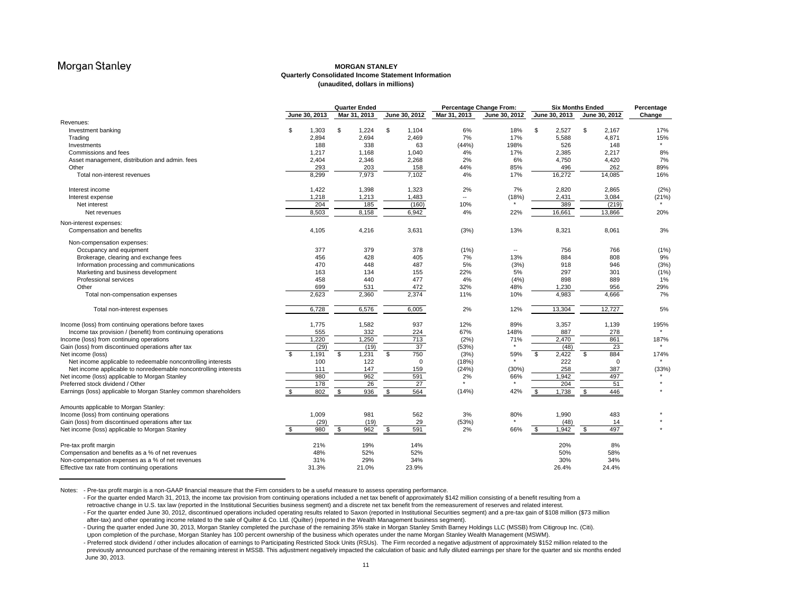#### **MORGAN STANLEY Quarterly Consolidated Income Statement Information (unaudited, dollars in millions)**

|                                                                  | <b>Quarter Ended</b> |                                  |               | <b>Percentage Change From:</b> | <b>Six Months Ended</b>  | Percentage    |                                |        |
|------------------------------------------------------------------|----------------------|----------------------------------|---------------|--------------------------------|--------------------------|---------------|--------------------------------|--------|
|                                                                  | June 30, 2013        | Mar 31, 2013                     | June 30, 2012 | Mar 31, 2013                   | June 30, 2012            | June 30, 2013 | June 30, 2012                  | Change |
| Revenues:                                                        |                      |                                  |               |                                |                          |               |                                |        |
| Investment banking                                               | \$<br>1,303          | \$<br>1,224                      | \$<br>1,104   | 6%                             | 18%                      | \$.<br>2,527  | $\mathfrak{s}$<br>2.167        | 17%    |
| Trading                                                          | 2,894                | 2,694                            | 2,469         | 7%                             | 17%                      | 5,588         | 4,871                          | 15%    |
| Investments                                                      | 188                  | 338                              | 63            | (44%)                          | 198%                     | 526           | 148                            |        |
| Commissions and fees                                             | 1,217                | 1,168                            | 1,040         | 4%                             | 17%                      | 2,385         | 2,217                          | 8%     |
| Asset management, distribution and admin. fees                   | 2,404                | 2,346                            | 2,268         | 2%                             | 6%                       | 4,750         | 4,420                          | 7%     |
| Other                                                            | 293                  | 203                              | 158           | 44%                            | 85%                      | 496           | 262                            | 89%    |
| Total non-interest revenues                                      | 8,299                | 7,973                            | 7,102         | 4%                             | 17%                      | 16,272        | 14,085                         | 16%    |
| Interest income                                                  | 1,422                | 1,398                            | 1,323         | 2%                             | 7%                       | 2,820         | 2,865                          | (2%)   |
| Interest expense                                                 | 1,218                | 1,213                            | 1,483         | $\overline{\phantom{a}}$       | (18%)                    | 2,431         | 3,084                          | (21%)  |
| Net interest                                                     | 204                  | 185                              | (160)         | 10%                            |                          | 389           | (219)                          |        |
| Net revenues                                                     | 8,503                | 8,158                            | 6,942         | 4%                             | 22%                      | 16,661        | 13,866                         | 20%    |
| Non-interest expenses:<br>Compensation and benefits              | 4,105                | 4,216                            | 3,631         | (3%)                           | 13%                      | 8,321         | 8,061                          | 3%     |
| Non-compensation expenses:                                       |                      |                                  |               |                                |                          |               |                                |        |
| Occupancy and equipment                                          | 377                  | 379                              | 378           | (1%)                           | $\overline{\phantom{a}}$ | 756           | 766                            | (1% )  |
| Brokerage, clearing and exchange fees                            | 456                  | 428                              | 405           | 7%                             | 13%                      | 884           | 808                            | 9%     |
| Information processing and communications                        | 470                  | 448                              | 487           | 5%                             | (3%)                     | 918           | 946                            | (3%)   |
| Marketing and business development                               | 163                  | 134                              | 155           | 22%                            | 5%                       | 297           | 301                            | (1% )  |
| Professional services                                            | 458                  | 440                              | 477           | 4%                             | (4% )                    | 898           | 889                            | 1%     |
| Other                                                            | 699                  | 531                              | 472           | 32%                            | 48%                      | 1,230         | 956                            | 29%    |
| Total non-compensation expenses                                  | 2,623                | 2,360                            | 2,374         | 11%                            | 10%                      | 4,983         | 4,666                          | 7%     |
| Total non-interest expenses                                      | 6,728                | 6,576                            | 6,005         | 2%                             | 12%                      | 13,304        | 12,727                         | 5%     |
| Income (loss) from continuing operations before taxes            | 1,775                | 1,582                            | 937           | 12%                            | 89%                      | 3,357         | 1,139                          | 195%   |
| Income tax provision / (benefit) from continuing operations      | 555                  | 332                              | 224           | 67%                            | 148%                     | 887           | 278                            |        |
| Income (loss) from continuing operations                         | 1,220                | 1,250                            | 713           | (2%)                           | 71%                      | 2,470         | 861                            | 187%   |
| Gain (loss) from discontinued operations after tax               | (29)                 | (19)                             | 37            | (53%)                          |                          | (48)          | 23                             |        |
| Net income (loss)                                                | \$.<br>1,191         | $\overline{\mathbf{s}}$<br>1,231 | s,<br>750     | (3%)                           | 59%                      | \$<br>2,422   | $\overline{\mathbf{s}}$<br>884 | 174%   |
| Net income applicable to redeemable noncontrolling interests     | 100                  | 122                              | $\mathbf 0$   | (18%)                          |                          | 222           | $\mathbf 0$                    |        |
| Net income applicable to nonredeemable noncontrolling interests  | 111                  | 147                              | 159           | (24%)                          | (30%)                    | 258           | 387                            | (33%)  |
| Net income (loss) applicable to Morgan Stanley                   | 980                  | 962                              | 591           | 2%                             | 66%                      | 1.942         | 497                            |        |
| Preferred stock dividend / Other                                 | 178                  | 26                               | 27            |                                |                          | 204           | 51                             |        |
| Earnings (loss) applicable to Morgan Stanley common shareholders | 802                  | \$<br>936                        | \$<br>564     | (14%)                          | 42%                      | 1,738<br>\$   | <b>S</b><br>446                |        |
| Amounts applicable to Morgan Stanley:                            |                      |                                  |               |                                |                          |               |                                |        |
| Income (loss) from continuing operations                         | 1,009                | 981                              | 562           | 3%                             | 80%                      | 1,990         | 483                            |        |
| Gain (loss) from discontinued operations after tax               | (29)                 | (19)                             | 29            | (53%)                          |                          | (48)          | 14                             |        |
| Net income (loss) applicable to Morgan Stanley                   | 980                  | \$<br>962                        | \$.<br>591    | 2%                             | 66%                      | 1,942<br>\$   | 497<br>\$                      |        |
| Pre-tax profit margin                                            | 21%                  | 19%                              | 14%           |                                |                          | 20%           | 8%                             |        |
| Compensation and benefits as a % of net revenues                 | 48%                  | 52%                              | 52%           |                                |                          | 50%           | 58%                            |        |
| Non-compensation expenses as a % of net revenues                 | 31%                  | 29%                              | 34%           |                                |                          | 30%           | 34%                            |        |
| Effective tax rate from continuing operations                    | 31.3%                | 21.0%                            | 23.9%         |                                |                          | 26.4%         | 24.4%                          |        |

Notes: - Pre-tax profit margin is a non-GAAP financial measure that the Firm considers to be a useful measure to assess operating performance.

- For the quarter ended March 31, 2013, the income tax provision from continuing operations included a net tax benefit of approximately \$142 million consisting of a benefit resulting from a

retroactive change in U.S. tax law (reported in the Institutional Securities business segment) and a discrete net tax benefit from the remeasurement of reserves and related interest.

- For the quarter ended June 30, 2012, discontinued operations included operating results related to Saxon (reported in Institutional Securities segment) and a pre-tax gain of \$108 million (\$73 million after-tax) and other operating income related to the sale of Quilter & Co. Ltd. (Quilter) (reported in the Wealth Management business segment).

- During the quarter ended June 30, 2013, Morgan Stanley completed the purchase of the remaining 35% stake in Morgan Stanley Smith Barney Holdings LLC (MSSB) from Citigroup Inc. (Citi). Upon completion of the purchase, Morgan Stanley has 100 percent ownership of the business which operates under the name Morgan Stanley Wealth Management (MSWM).

<sup>-</sup> Preferred stock dividend / other includes allocation of earnings to Participating Restricted Stock Units (RSUs). The Firm recorded a negative adjustment of approximately \$152 million related to the previously announced purchase of the remaining interest in MSSB. This adjustment negatively impacted the calculation of basic and fully diluted earnings per share for the quarter and six months ended June 30, 2013.